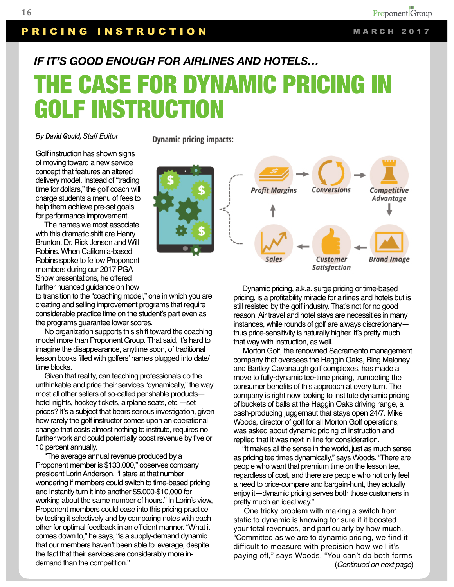## PRICING INSTRUCTION MARCH 2017

## *IF IT'S GOOD ENOUGH FOR AIRLINES AND HOTELS…*

## THE CASE FOR DYNAMIC PRICING IN GOLF INSTRUCTION

*By David Gould, Staff Editor* 

Golf instruction has shown signs of moving toward a new service concept that features an altered delivery model. Instead of "trading time for dollars," the golf coach will charge students a menu of fees to help them achieve pre-set goals for performance improvement.

 The names we most associate with this dramatic shift are Henry Brunton, Dr. Rick Jensen and Will Robins. When California-based Robins spoke to fellow Proponent members during our 2017 PGA Show presentations, he offered further nuanced guidance on how

to transition to the "coaching model," one in which you are creating and selling improvement programs that require considerable practice time on the student's part even as the programs guarantee lower scores.

 No organization supports this shift toward the coaching model more than Proponent Group. That said, it's hard to imagine the disappearance, anytime soon, of traditional lesson books filled with golfers' names plugged into date/ time blocks.

 Given that reality, can teaching professionals do the unthinkable and price their services "dynamically," the way most all other sellers of so-called perishable products hotel nights, hockey tickets, airplane seats, etc.—set prices? It's a subject that bears serious investigation, given how rarely the golf instructor comes upon an operational change that costs almost nothing to institute, requires no further work and could potentially boost revenue by five or 10 percent annually.

 "The average annual revenue produced by a Proponent member is \$133,000," observes company president Lorin Anderson. "I stare at that number wondering if members could switch to time-based pricing and instantly turn it into another \$5,000-\$10,000 for working about the same number of hours." In Lorin's view, Proponent members could ease into this pricing practice by testing it selectively and by comparing notes with each other for optimal feedback in an efficient manner. "What it comes down to," he says, "is a supply-demand dynamic that our members haven't been able to leverage, despite the fact that their services are considerably more indemand than the competition."

**Dynamic pricing impacts:** 



 Dynamic pricing, a.k.a. surge pricing or time-based pricing, is a profitability miracle for airlines and hotels but is still resisted by the golf industry. That's not for no good reason. Air travel and hotel stays are necessities in many instances, while rounds of golf are always discretionary thus price-sensitivity is naturally higher. It's pretty much that way with instruction, as well.

 Morton Golf, the renowned Sacramento management company that oversees the Haggin Oaks, Bing Maloney and Bartley Cavanaugh golf complexes, has made a move to fully-dynamic tee-time pricing, trumpeting the consumer benefits of this approach at every turn. The company is right now looking to institute dynamic pricing of buckets of balls at the Haggin Oaks driving range, a cash-producing juggernaut that stays open 24/7. Mike Woods, director of golf for all Morton Golf operations, was asked about dynamic pricing of instruction and replied that it was next in line for consideration.

 "It makes all the sense in the world, just as much sense as pricing tee times dynamically," says Woods. "There are people who want that premium time on the lesson tee, regardless of cost, and there are people who not only feel a need to price-compare and bargain-hunt, they actually enjoy it—dynamic pricing serves both those customers in pretty much an ideal way."

 One tricky problem with making a switch from static to dynamic is knowing for sure if it boosted your total revenues, and particularly by how much. "Committed as we are to dynamic pricing, we find it difficult to measure with precision how well it's paying off," says Woods. "You can't do both forms (*Continued on next page*)